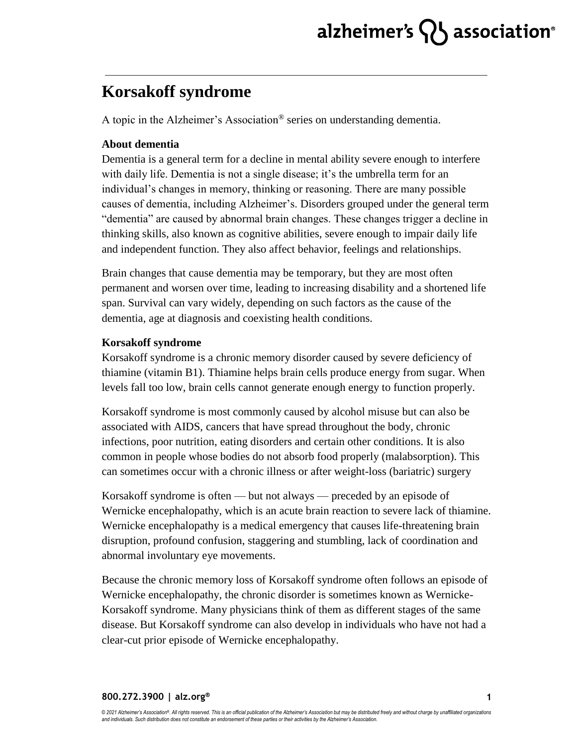# **Korsakoff syndrome**

A topic in the Alzheimer's Association® series on understanding dementia.

### **About dementia**

Dementia is a general term for a decline in mental ability severe enough to interfere with daily life. Dementia is not a single disease; it's the umbrella term for an individual's changes in memory, thinking or reasoning. There are many possible causes of dementia, including Alzheimer's. Disorders grouped under the general term "dementia" are caused by abnormal brain changes. These changes trigger a decline in thinking skills, also known as cognitive abilities, severe enough to impair daily life and independent function. They also affect behavior, feelings and relationships.

Brain changes that cause dementia may be temporary, but they are most often permanent and worsen over time, leading to increasing disability and a shortened life span. Survival can vary widely, depending on such factors as the cause of the dementia, age at diagnosis and coexisting health conditions.

### **Korsakoff syndrome**

Korsakoff syndrome is a chronic memory disorder caused by severe deficiency of thiamine (vitamin B1). Thiamine helps brain cells produce energy from sugar. When levels fall too low, brain cells cannot generate enough energy to function properly.

Korsakoff syndrome is most commonly caused by alcohol misuse but can also be associated with AIDS, cancers that have spread throughout the body, chronic infections, poor nutrition, eating disorders and certain other conditions. It is also common in people whose bodies do not absorb food properly (malabsorption). This can sometimes occur with a chronic illness or after weight-loss (bariatric) surgery

Korsakoff syndrome is often — but not always — preceded by an episode of Wernicke encephalopathy, which is an acute brain reaction to severe lack of thiamine. Wernicke encephalopathy is a medical emergency that causes life-threatening brain disruption, profound confusion, staggering and stumbling, lack of coordination and abnormal involuntary eye movements.

Because the chronic memory loss of Korsakoff syndrome often follows an episode of Wernicke encephalopathy, the chronic disorder is sometimes known as Wernicke-Korsakoff syndrome. Many physicians think of them as different stages of the same disease. But Korsakoff syndrome can also develop in individuals who have not had a clear-cut prior episode of Wernicke encephalopathy.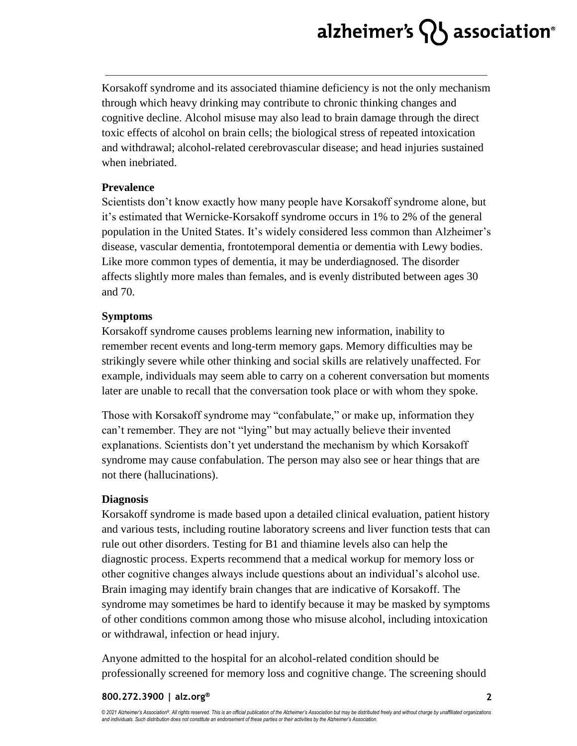Korsakoff syndrome and its associated thiamine deficiency is not the only mechanism through which heavy drinking may contribute to chronic thinking changes and cognitive decline. Alcohol misuse may also lead to brain damage through the direct toxic effects of alcohol on brain cells; the biological stress of repeated intoxication and withdrawal; alcohol-related cerebrovascular disease; and head injuries sustained when inebriated.

### **Prevalence**

Scientists don't know exactly how many people have Korsakoff syndrome alone, but it's estimated that Wernicke-Korsakoff syndrome occurs in 1% to 2% of the general population in the United States. It's widely considered less common than Alzheimer's disease, vascular dementia, frontotemporal dementia or dementia with Lewy bodies. Like more common types of dementia, it may be underdiagnosed. The disorder affects slightly more males than females, and is evenly distributed between ages 30 and 70.

## **Symptoms**

Korsakoff syndrome causes problems learning new information, inability to remember recent events and long-term memory gaps. Memory difficulties may be strikingly severe while other thinking and social skills are relatively unaffected. For example, individuals may seem able to carry on a coherent conversation but moments later are unable to recall that the conversation took place or with whom they spoke.

Those with Korsakoff syndrome may "confabulate," or make up, information they can't remember. They are not "lying" but may actually believe their invented explanations. Scientists don't yet understand the mechanism by which Korsakoff syndrome may cause confabulation. The person may also see or hear things that are not there (hallucinations).

## **Diagnosis**

Korsakoff syndrome is made based upon a detailed clinical evaluation, patient history and various tests, including routine laboratory screens and liver function tests that can rule out other disorders. Testing for B1 and thiamine levels also can help the diagnostic process. Experts recommend that a medical workup for memory loss or other cognitive changes always include questions about an individual's alcohol use. Brain imaging may identify brain changes that are indicative of Korsakoff. The syndrome may sometimes be hard to identify because it may be masked by symptoms of other conditions common among those who misuse alcohol, including intoxication or withdrawal, infection or head injury.

Anyone admitted to the hospital for an alcohol-related condition should be professionally screened for memory loss and cognitive change. The screening should

### **800.272.3900 | alz.org®**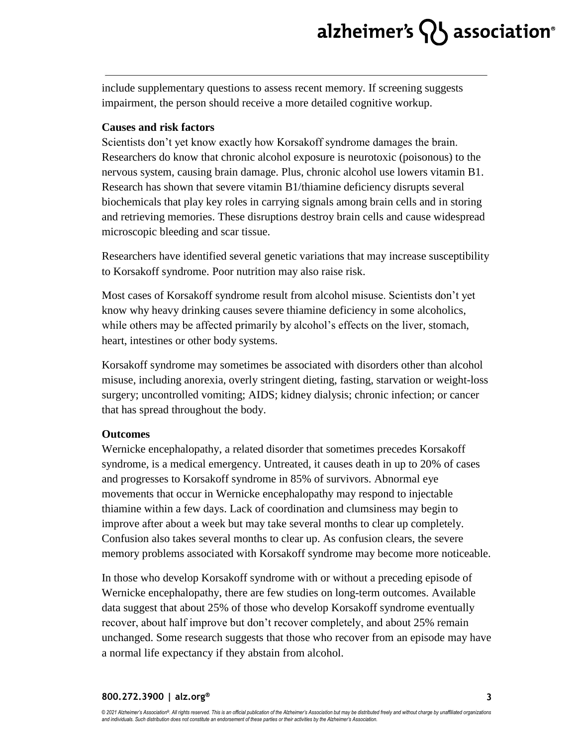include supplementary questions to assess recent memory. If screening suggests impairment, the person should receive a more detailed cognitive workup.

#### **Causes and risk factors**

Scientists don't yet know exactly how Korsakoff syndrome damages the brain. Researchers do know that chronic alcohol exposure is neurotoxic (poisonous) to the nervous system, causing brain damage. Plus, chronic alcohol use lowers vitamin B1. Research has shown that severe vitamin B1/thiamine deficiency disrupts several biochemicals that play key roles in carrying signals among brain cells and in storing and retrieving memories. These disruptions destroy brain cells and cause widespread microscopic bleeding and scar tissue.

Researchers have identified several genetic variations that may increase susceptibility to Korsakoff syndrome. Poor nutrition may also raise risk.

Most cases of Korsakoff syndrome result from alcohol misuse. Scientists don't yet know why heavy drinking causes severe thiamine deficiency in some alcoholics, while others may be affected primarily by alcohol's effects on the liver, stomach, heart, intestines or other body systems.

Korsakoff syndrome may sometimes be associated with disorders other than alcohol misuse, including anorexia, overly stringent dieting, fasting, starvation or weight-loss surgery; uncontrolled vomiting; AIDS; kidney dialysis; chronic infection; or cancer that has spread throughout the body.

#### **Outcomes**

Wernicke encephalopathy, a related disorder that sometimes precedes Korsakoff syndrome, is a medical emergency. Untreated, it causes death in up to 20% of cases and progresses to Korsakoff syndrome in 85% of survivors. Abnormal eye movements that occur in Wernicke encephalopathy may respond to injectable thiamine within a few days. Lack of coordination and clumsiness may begin to improve after about a week but may take several months to clear up completely. Confusion also takes several months to clear up. As confusion clears, the severe memory problems associated with Korsakoff syndrome may become more noticeable.

In those who develop Korsakoff syndrome with or without a preceding episode of Wernicke encephalopathy, there are few studies on long-term outcomes. Available data suggest that about 25% of those who develop Korsakoff syndrome eventually recover, about half improve but don't recover completely, and about 25% remain unchanged. Some research suggests that those who recover from an episode may have a normal life expectancy if they abstain from alcohol.